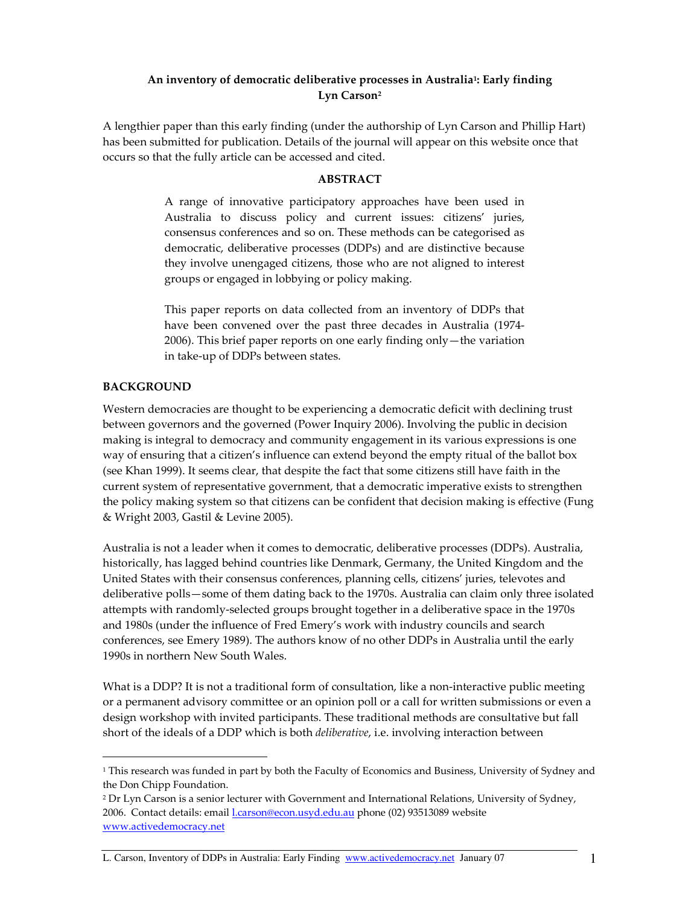# An inventory of democratic deliberative processes in Australia½ Early finding Lyn Carson<sup>2</sup>

A lengthier paper than this early finding (under the authorship of Lyn Carson and Phillip Hart) has been submitted for publication. Details of the journal will appear on this website once that occurs so that the fully article can be accessed and cited.

# ABSTRACT

A range of innovative participatory approaches have been used in Australia to discuss policy and current issues: citizens' juries, consensus conferences and so on. These methods can be categorised as democratic, deliberative processes (DDPs) and are distinctive because they involve unengaged citizens, those who are not aligned to interest groups or engaged in lobbying or policy making.

This paper reports on data collected from an inventory of DDPs that have been convened over the past three decades in Australia (1974- 2006). This brief paper reports on one early finding only—the variation in take-up of DDPs between states.

### BACKGROUND

 $\overline{a}$ 

Western democracies are thought to be experiencing a democratic deficit with declining trust between governors and the governed (Power Inquiry 2006). Involving the public in decision making is integral to democracy and community engagement in its various expressions is one way of ensuring that a citizen's influence can extend beyond the empty ritual of the ballot box (see Khan 1999). It seems clear, that despite the fact that some citizens still have faith in the current system of representative government, that a democratic imperative exists to strengthen the policy making system so that citizens can be confident that decision making is effective (Fung & Wright 2003, Gastil & Levine 2005).

Australia is not a leader when it comes to democratic, deliberative processes (DDPs). Australia, historically, has lagged behind countries like Denmark, Germany, the United Kingdom and the United States with their consensus conferences, planning cells, citizens' juries, televotes and deliberative polls—some of them dating back to the 1970s. Australia can claim only three isolated attempts with randomly-selected groups brought together in a deliberative space in the 1970s and 1980s (under the influence of Fred Emery's work with industry councils and search conferences, see Emery 1989). The authors know of no other DDPs in Australia until the early 1990s in northern New South Wales.

What is a DDP? It is not a traditional form of consultation, like a non-interactive public meeting or a permanent advisory committee or an opinion poll or a call for written submissions or even a design workshop with invited participants. These traditional methods are consultative but fall short of the ideals of a DDP which is both *deliberative*, i.e. involving interaction between

L. Carson, Inventory of DDPs in Australia: Early Finding www.activedemocracy.net January 07 1

<sup>1</sup> This research was funded in part by both the Faculty of Economics and Business, University of Sydney and the Don Chipp Foundation.

<sup>2</sup> Dr Lyn Carson is a senior lecturer with Government and International Relations, University of Sydney, 2006. Contact details: email *l.carson@econ.usyd.edu.au* phone (02) 93513089 website www.activedemocracy.net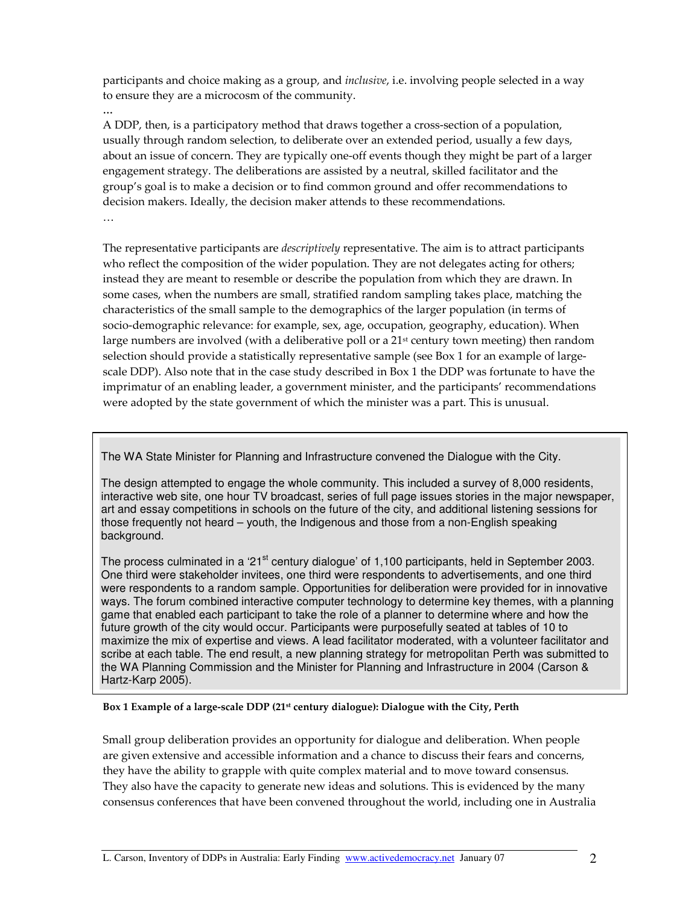participants and choice making as a group, and *inclusive*, i.e. involving people selected in a way to ensure they are a microcosm of the community.

…

A DDP, then, is a participatory method that draws together a cross-section of a population, usually through random selection, to deliberate over an extended period, usually a few days, about an issue of concern. They are typically one-off events though they might be part of a larger engagement strategy. The deliberations are assisted by a neutral, skilled facilitator and the group's goal is to make a decision or to find common ground and offer recommendations to decision makers. Ideally, the decision maker attends to these recommendations. …

The representative participants are *descriptively* representative. The aim is to attract participants who reflect the composition of the wider population. They are not delegates acting for others; instead they are meant to resemble or describe the population from which they are drawn. In some cases, when the numbers are small, stratified random sampling takes place, matching the characteristics of the small sample to the demographics of the larger population (in terms of socio-demographic relevance: for example, sex, age, occupation, geography, education). When large numbers are involved (with a deliberative poll or a  $21<sup>st</sup>$  century town meeting) then random selection should provide a statistically representative sample (see Box 1 for an example of largescale DDP). Also note that in the case study described in Box 1 the DDP was fortunate to have the imprimatur of an enabling leader, a government minister, and the participants' recommendations were adopted by the state government of which the minister was a part. This is unusual.

The WA State Minister for Planning and Infrastructure convened the Dialogue with the City.

The design attempted to engage the whole community. This included a survey of 8,000 residents, interactive web site, one hour TV broadcast, series of full page issues stories in the major newspaper, art and essay competitions in schools on the future of the city, and additional listening sessions for those frequently not heard – youth, the Indigenous and those from a non-English speaking background.

The process culminated in a '21<sup>st</sup> century dialogue' of 1,100 participants, held in September 2003. One third were stakeholder invitees, one third were respondents to advertisements, and one third were respondents to a random sample. Opportunities for deliberation were provided for in innovative ways. The forum combined interactive computer technology to determine key themes, with a planning game that enabled each participant to take the role of a planner to determine where and how the future growth of the city would occur. Participants were purposefully seated at tables of 10 to maximize the mix of expertise and views. A lead facilitator moderated, with a volunteer facilitator and scribe at each table. The end result, a new planning strategy for metropolitan Perth was submitted to the WA Planning Commission and the Minister for Planning and Infrastructure in 2004 (Carson & Hartz-Karp 2005).

# Box 1 Example of a large-scale DDP (21st century dialogue): Dialogue with the City, Perth

Small group deliberation provides an opportunity for dialogue and deliberation. When people are given extensive and accessible information and a chance to discuss their fears and concerns, they have the ability to grapple with quite complex material and to move toward consensus. They also have the capacity to generate new ideas and solutions. This is evidenced by the many consensus conferences that have been convened throughout the world, including one in Australia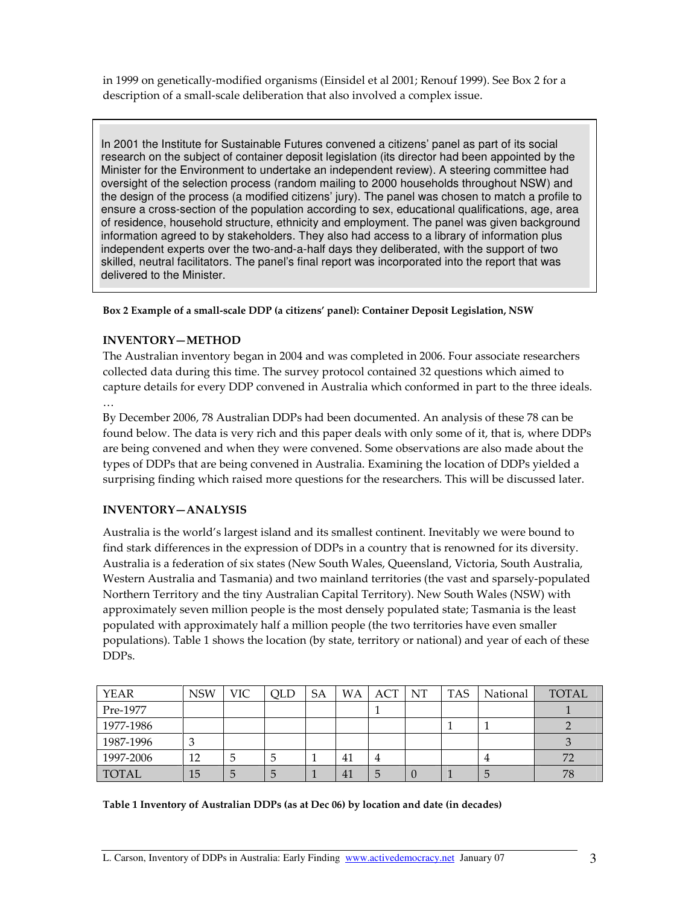in 1999 on genetically-modified organisms (Einsidel et al 2001; Renouf 1999). See Box 2 for a description of a small-scale deliberation that also involved a complex issue.

In 2001 the Institute for Sustainable Futures convened a citizens' panel as part of its social research on the subject of container deposit legislation (its director had been appointed by the Minister for the Environment to undertake an independent review). A steering committee had oversight of the selection process (random mailing to 2000 households throughout NSW) and the design of the process (a modified citizens' jury). The panel was chosen to match a profile to ensure a cross-section of the population according to sex, educational qualifications, age, area of residence, household structure, ethnicity and employment. The panel was given background information agreed to by stakeholders. They also had access to a library of information plus independent experts over the two-and-a-half days they deliberated, with the support of two skilled, neutral facilitators. The panel's final report was incorporated into the report that was delivered to the Minister.

### Box 2 Example of a small-scale DDP (a citizens' panel): Container Deposit Legislation, NSW

# INVENTORY—METHOD

The Australian inventory began in 2004 and was completed in 2006. Four associate researchers collected data during this time. The survey protocol contained 32 questions which aimed to capture details for every DDP convened in Australia which conformed in part to the three ideals.

…

By December 2006, 78 Australian DDPs had been documented. An analysis of these 78 can be found below. The data is very rich and this paper deals with only some of it, that is, where DDPs are being convened and when they were convened. Some observations are also made about the types of DDPs that are being convened in Australia. Examining the location of DDPs yielded a surprising finding which raised more questions for the researchers. This will be discussed later.

# INVENTORY—ANALYSIS

Australia is the world's largest island and its smallest continent. Inevitably we were bound to find stark differences in the expression of DDPs in a country that is renowned for its diversity. Australia is a federation of six states (New South Wales, Queensland, Victoria, South Australia, Western Australia and Tasmania) and two mainland territories (the vast and sparsely-populated Northern Territory and the tiny Australian Capital Territory). New South Wales (NSW) with approximately seven million people is the most densely populated state; Tasmania is the least populated with approximately half a million people (the two territories have even smaller populations). Table 1 shows the location (by state, territory or national) and year of each of these DDPs.

| <b>YEAR</b> | <b>NSW</b> | VIC | <b>QLD</b> | SA | WΑ | ACT | NT | <b>TAS</b> | National | TOTAL |
|-------------|------------|-----|------------|----|----|-----|----|------------|----------|-------|
| Pre-1977    |            |     |            |    |    |     |    |            |          |       |
| 1977-1986   |            |     |            |    |    |     |    |            |          |       |
| 1987-1996   |            |     |            |    |    |     |    |            |          |       |
| 1997-2006   | 12         | G   | C          |    | 41 |     |    |            |          | 72    |
| TOTAL       | 15         | 5   | O          |    | 41 |     |    |            |          | 78    |

#### Table 1 Inventory of Australian DDPs (as at Dec 06) by location and date (in decades)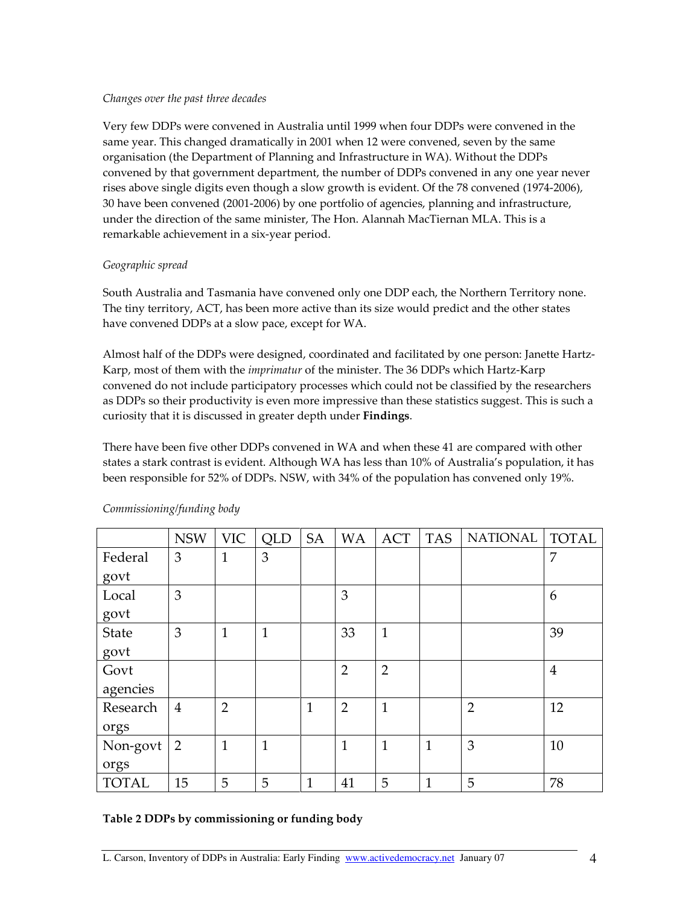### Changes over the past three decades

Very few DDPs were convened in Australia until 1999 when four DDPs were convened in the same year. This changed dramatically in 2001 when 12 were convened, seven by the same organisation (the Department of Planning and Infrastructure in WA). Without the DDPs convened by that government department, the number of DDPs convened in any one year never rises above single digits even though a slow growth is evident. Of the 78 convened (1974-2006), 30 have been convened (2001-2006) by one portfolio of agencies, planning and infrastructure, under the direction of the same minister, The Hon. Alannah MacTiernan MLA. This is a remarkable achievement in a six-year period.

# Geographic spread

South Australia and Tasmania have convened only one DDP each, the Northern Territory none. The tiny territory, ACT, has been more active than its size would predict and the other states have convened DDPs at a slow pace, except for WA.

Almost half of the DDPs were designed, coordinated and facilitated by one person: Janette Hartz-Karp, most of them with the *imprimatur* of the minister. The 36 DDPs which Hartz-Karp convened do not include participatory processes which could not be classified by the researchers as DDPs so their productivity is even more impressive than these statistics suggest. This is such a curiosity that it is discussed in greater depth under Findings.

There have been five other DDPs convened in WA and when these 41 are compared with other states a stark contrast is evident. Although WA has less than 10% of Australia's population, it has been responsible for 52% of DDPs. NSW, with 34% of the population has convened only 19%.

|              | <b>NSW</b>     | <b>VIC</b>     | <b>QLD</b> | <b>SA</b>    | <b>WA</b>      | <b>ACT</b>     | <b>TAS</b>   | <b>NATIONAL</b> | <b>TOTAL</b>   |
|--------------|----------------|----------------|------------|--------------|----------------|----------------|--------------|-----------------|----------------|
| Federal      | 3              | $\mathbf{1}$   | 3          |              |                |                |              |                 | 7              |
| govt         |                |                |            |              |                |                |              |                 |                |
| Local        | 3              |                |            |              | 3              |                |              |                 | 6              |
| govt         |                |                |            |              |                |                |              |                 |                |
| State        | 3              | $\mathbf 1$    | 1          |              | 33             | $\mathbf{1}$   |              |                 | 39             |
| govt         |                |                |            |              |                |                |              |                 |                |
| Govt         |                |                |            |              | $\overline{2}$ | $\overline{2}$ |              |                 | $\overline{4}$ |
| agencies     |                |                |            |              |                |                |              |                 |                |
| Research     | $\overline{4}$ | $\overline{2}$ |            | $\mathbf{1}$ | $\overline{2}$ | $\mathbf{1}$   |              | $\overline{2}$  | 12             |
| orgs         |                |                |            |              |                |                |              |                 |                |
| Non-govt     | 2              | $\mathbf{1}$   | 1          |              | $\mathbf{1}$   | $\mathbf{1}$   | $\mathbf{1}$ | 3               | 10             |
| orgs         |                |                |            |              |                |                |              |                 |                |
| <b>TOTAL</b> | 15             | 5              | 5          | $\mathbf{1}$ | 41             | 5              | $\mathbf{1}$ | 5               | 78             |

# Commissioning/funding body

# Table 2 DDPs by commissioning or funding body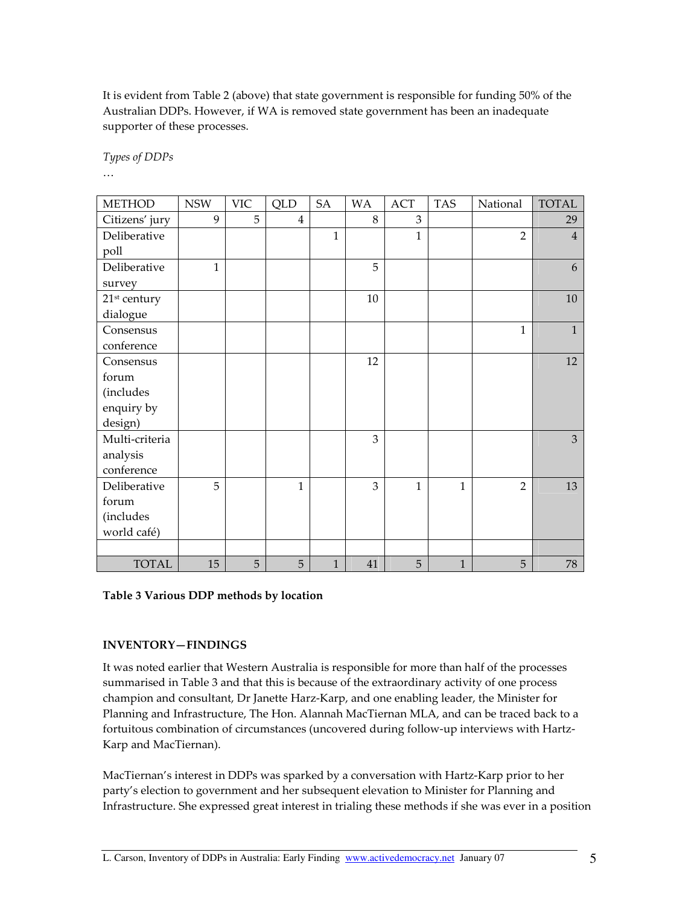It is evident from Table 2 (above) that state government is responsible for funding 50% of the Australian DDPs. However, if WA is removed state government has been an inadequate supporter of these processes.

Types of DDPs

…

| <b>METHOD</b>            | <b>NSW</b>   | <b>VIC</b> | <b>QLD</b>     | SA           | <b>WA</b> | ACT          | <b>TAS</b>   | National       | <b>TOTAL</b>   |
|--------------------------|--------------|------------|----------------|--------------|-----------|--------------|--------------|----------------|----------------|
| Citizens' jury           | 9            | 5          | $\overline{4}$ |              | 8         | 3            |              |                | 29             |
| Deliberative             |              |            |                | $\mathbf{1}$ |           | $\mathbf{1}$ |              | $\overline{2}$ | $\overline{4}$ |
| poll                     |              |            |                |              |           |              |              |                |                |
| Deliberative             | $\mathbf{1}$ |            |                |              | 5         |              |              |                | 6              |
| survey                   |              |            |                |              |           |              |              |                |                |
| 21 <sup>st</sup> century |              |            |                |              | 10        |              |              |                | 10             |
| dialogue                 |              |            |                |              |           |              |              |                |                |
| Consensus                |              |            |                |              |           |              |              | 1              | $\mathbf{1}$   |
| conference               |              |            |                |              |           |              |              |                |                |
| Consensus                |              |            |                |              | 12        |              |              |                | 12             |
| forum                    |              |            |                |              |           |              |              |                |                |
| (includes                |              |            |                |              |           |              |              |                |                |
| enquiry by               |              |            |                |              |           |              |              |                |                |
| design)                  |              |            |                |              |           |              |              |                |                |
| Multi-criteria           |              |            |                |              | 3         |              |              |                | 3              |
| analysis                 |              |            |                |              |           |              |              |                |                |
| conference               |              |            |                |              |           |              |              |                |                |
| Deliberative             | 5            |            | $\mathbf{1}$   |              | 3         | 1            | 1            | $\overline{2}$ | 13             |
| forum                    |              |            |                |              |           |              |              |                |                |
| (includes                |              |            |                |              |           |              |              |                |                |
| world café)              |              |            |                |              |           |              |              |                |                |
|                          |              |            |                |              |           |              |              |                |                |
| <b>TOTAL</b>             | 15           | 5          | 5              | $\mathbf{1}$ | 41        | 5            | $\mathbf{1}$ | 5              | 78             |

### Table 3 Various DDP methods by location

# INVENTORY—FINDINGS

It was noted earlier that Western Australia is responsible for more than half of the processes summarised in Table 3 and that this is because of the extraordinary activity of one process champion and consultant, Dr Janette Harz-Karp, and one enabling leader, the Minister for Planning and Infrastructure, The Hon. Alannah MacTiernan MLA, and can be traced back to a fortuitous combination of circumstances (uncovered during follow-up interviews with Hartz-Karp and MacTiernan).

MacTiernan's interest in DDPs was sparked by a conversation with Hartz-Karp prior to her party's election to government and her subsequent elevation to Minister for Planning and Infrastructure. She expressed great interest in trialing these methods if she was ever in a position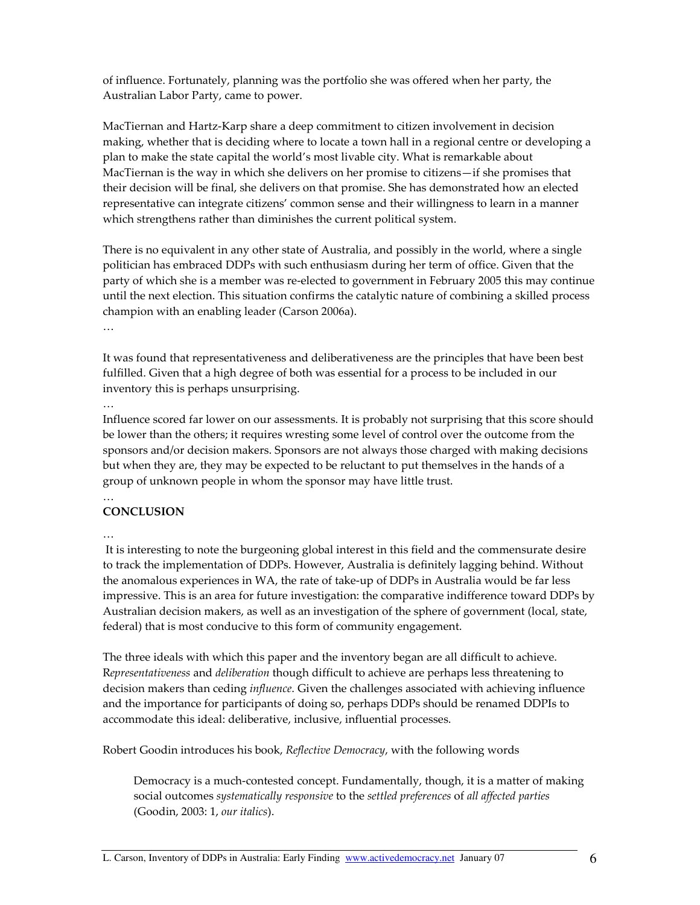of influence. Fortunately, planning was the portfolio she was offered when her party, the Australian Labor Party, came to power.

MacTiernan and Hartz-Karp share a deep commitment to citizen involvement in decision making, whether that is deciding where to locate a town hall in a regional centre or developing a plan to make the state capital the world's most livable city. What is remarkable about MacTiernan is the way in which she delivers on her promise to citizens—if she promises that their decision will be final, she delivers on that promise. She has demonstrated how an elected representative can integrate citizens' common sense and their willingness to learn in a manner which strengthens rather than diminishes the current political system.

There is no equivalent in any other state of Australia, and possibly in the world, where a single politician has embraced DDPs with such enthusiasm during her term of office. Given that the party of which she is a member was re-elected to government in February 2005 this may continue until the next election. This situation confirms the catalytic nature of combining a skilled process champion with an enabling leader (Carson 2006a).

…

It was found that representativeness and deliberativeness are the principles that have been best fulfilled. Given that a high degree of both was essential for a process to be included in our inventory this is perhaps unsurprising.

…

Influence scored far lower on our assessments. It is probably not surprising that this score should be lower than the others; it requires wresting some level of control over the outcome from the sponsors and/or decision makers. Sponsors are not always those charged with making decisions but when they are, they may be expected to be reluctant to put themselves in the hands of a group of unknown people in whom the sponsor may have little trust.

#### … **CONCLUSION**

…

 It is interesting to note the burgeoning global interest in this field and the commensurate desire to track the implementation of DDPs. However, Australia is definitely lagging behind. Without the anomalous experiences in WA, the rate of take-up of DDPs in Australia would be far less impressive. This is an area for future investigation: the comparative indifference toward DDPs by Australian decision makers, as well as an investigation of the sphere of government (local, state, federal) that is most conducive to this form of community engagement.

The three ideals with which this paper and the inventory began are all difficult to achieve. Representativeness and deliberation though difficult to achieve are perhaps less threatening to decision makers than ceding *influence*. Given the challenges associated with achieving influence and the importance for participants of doing so, perhaps DDPs should be renamed DDPIs to accommodate this ideal: deliberative, inclusive, influential processes.

Robert Goodin introduces his book, Reflective Democracy, with the following words

Democracy is a much-contested concept. Fundamentally, though, it is a matter of making social outcomes systematically responsive to the settled preferences of all affected parties (Goodin, 2003: 1, our italics).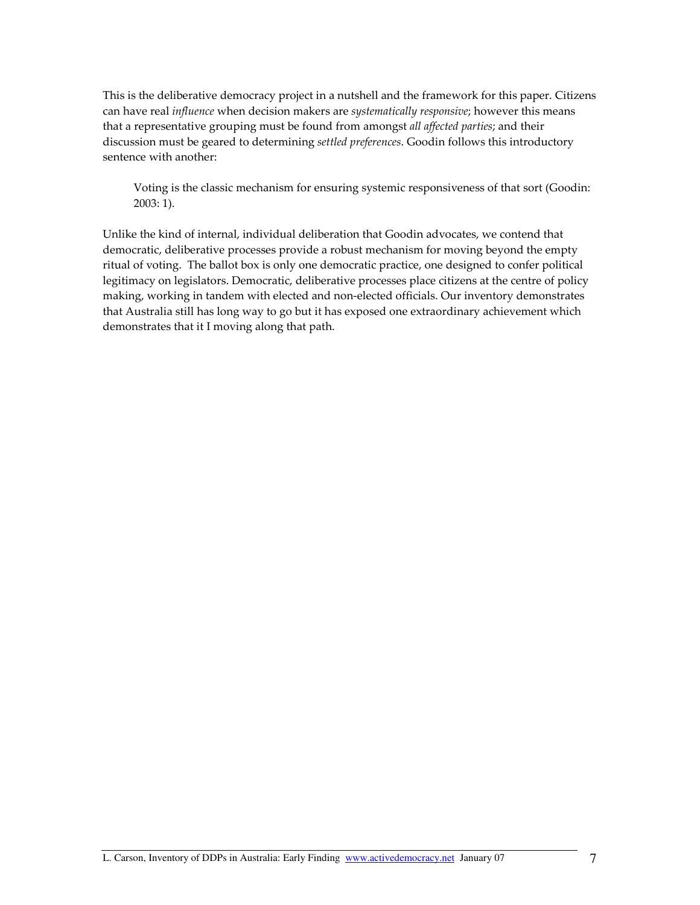This is the deliberative democracy project in a nutshell and the framework for this paper. Citizens can have real influence when decision makers are systematically responsive; however this means that a representative grouping must be found from amongst all affected parties; and their discussion must be geared to determining settled preferences. Goodin follows this introductory sentence with another:

Voting is the classic mechanism for ensuring systemic responsiveness of that sort (Goodin: 2003: 1).

Unlike the kind of internal, individual deliberation that Goodin advocates, we contend that democratic, deliberative processes provide a robust mechanism for moving beyond the empty ritual of voting. The ballot box is only one democratic practice, one designed to confer political legitimacy on legislators. Democratic, deliberative processes place citizens at the centre of policy making, working in tandem with elected and non-elected officials. Our inventory demonstrates that Australia still has long way to go but it has exposed one extraordinary achievement which demonstrates that it I moving along that path.